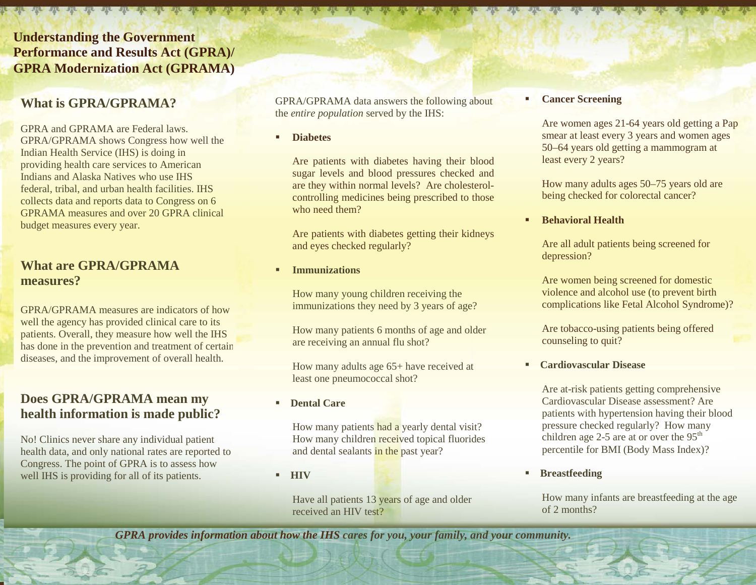# **Understanding the Government Performance and Results Act (GPRA)/ GPRA Modernization Act (GPRAMA)**

# **What is GPRA/GPRAMA?**

GPRA and GPRAMA are Federal laws. GPRA/GPRAMA shows Congress how well the Indian Health Service (IHS) is doing in providing health care services to American Indians and Alaska Natives who use IHS federal, tribal, and urban health facilities. IHS collects data and reports data to Congress on 6 GPRAMA measures and over 20 GPRA clinical budget measures every year.

## **What are GPRA/GPRAMA measures?**

GPRA/GPRAMA measures are indicators of how well the agency has provided clinical care to its patients. Overall, they measure how well the IHS has done in the prevention and treatment of certain diseases, and the improvement of overall health.

## **Does GPRA/GPRAMA mean my health information is made public?**

No! Clinics never share any individual patient health data, and only national rates are reported to Congress. The point of GPRA is to assess how well IHS is providing for all of its patients.

GPRA/GPRAMA data answers the following about the *entire population* served by the IHS:

#### **Diabetes**

Are patients with diabetes having their blood sugar levels and blood pressures checked and are they within normal levels? Are cholesterolcontrolling medicines being prescribed to those who need them?

Are patients with diabetes getting their kidneys and eyes checked regularly?

#### **Immunizations**

How many young children receiving the immunizations they need by 3 years of age?

How many patients 6 months of age and older are receiving an annual flu shot?

How many adults age 65+ have received at least one pneumococcal shot?

**Dental Care**

How many patients had a yearly dental visit? How many children received topical fluorides and dental sealants in the past year?

**HIV**

Have all patients 13 years of age and older received an HIV test?

#### **Cancer Screening**

Are women ages 21-64 years old getting a Pap smear at least every 3 years and women ages 50–64 years old getting a mammogram at least every 2 years?

How many adults ages 50–75 years old are being checked for colorectal cancer?

#### **Behavioral Health**

Are all adult patients being screened for depression?

Are women being screened for domestic violence and alcohol use (to prevent birth complications like Fetal Alcohol Syndrome)?

Are tobacco-using patients being offered counseling to quit?

**Cardiovascular Disease** 

Are at-risk patients getting comprehensive Cardiovascular Disease assessment? Are patients with hypertension having their blood pressure checked regularly? How many children age 2-5 are at or over the  $95<sup>th</sup>$ percentile for BMI (Body Mass Index)?

**Breastfeeding**

How many infants are breastfeeding at the age of 2 months?

*GPRA provides information about how the IHS cares for you, your family, and your community.*